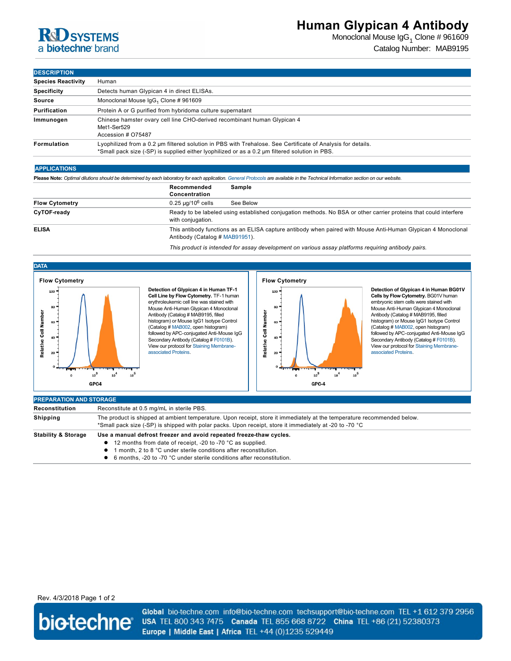# **RCD SYSTEMS** a biotechne brand

Monoclonal Mouse Ig ${\sf G}_1$  Clone # 961609 Catalog Number: MAB9195

## **DESCRIPTION**

| <b>DEJUNIF HUN</b>        |                                                                                                                                                                                                               |
|---------------------------|---------------------------------------------------------------------------------------------------------------------------------------------------------------------------------------------------------------|
| <b>Species Reactivity</b> | Human                                                                                                                                                                                                         |
| <b>Specificity</b>        | Detects human Glypican 4 in direct ELISAs.                                                                                                                                                                    |
| Source                    | Monoclonal Mouse IgG <sub>1</sub> Clone # 961609                                                                                                                                                              |
| Purification              | Protein A or G purified from hybridoma culture supernatant                                                                                                                                                    |
| Immunogen                 | Chinese hamster ovary cell line CHO-derived recombinant human Glypican 4<br>Met1-Ser529<br>Accession # 075487                                                                                                 |
| <b>Formulation</b>        | Lyophilized from a 0.2 um filtered solution in PBS with Trehalose. See Certificate of Analysis for details.<br>*Small pack size (-SP) is supplied either lyophilized or as a 0.2 µm filtered solution in PBS. |

### **APPLICATIONS**

**Please Note:** *Optimal dilutions should be determined by each laboratory for each application. [General Protocols](http://www.rndsystems.com/resources/protocols-troubleshooting-guides) are available in the Technical Information section on our website.*

|                       | Recommended<br>Sample<br>Concentration                                                                                                         |
|-----------------------|------------------------------------------------------------------------------------------------------------------------------------------------|
| <b>Flow Cytometry</b> | $0.25 \mu q/10^6$ cells<br>See Below                                                                                                           |
| CyTOF-ready           | Ready to be labeled using established conjugation methods. No BSA or other carrier proteins that could interfere<br>with conjugation.          |
| <b>ELISA</b>          | This antibody functions as an ELISA capture antibody when paired with Mouse Anti-Human Glypican 4 Monoclonal<br>Antibody (Catalog # MAB91951). |

*This product is intended for assay development on various assay platforms requiring antibody pairs.*



**Detection of Glypican 4 in Human TF1 Cell Line by Flow Cytometry.** TF-1 human<br>erythroleukemic cell line was stained with Mouse Anti-Human Glypican 4 Monoclonal Antibody (Catalog # MAB9195, filled histogram) or Mouse IgG1 Isotype Control (Catalog # [MAB002](http://www.rndsystems.com/product_results.aspx?k=MAB002), open histogram) followed by APC-conjugated Anti-Mouse IgG Secondary Antibody (Catalog # [F0101B](http://www.rndsystems.com/product_results.aspx?k=F0101B)). [View our protocol for Staining Membrane](http://www.rndsystems.com/literature_flow_cytometry_staining_membrane.aspx)associated Proteins.



**Detection of Glypican 4 in Human BG01V Cells by Flow Cytometry.** BG01V human embryonic stem cells were stained with Mouse Anti-Human Glypican 4 Monoclonal Antibody (Catalog # MAB9195, filled histogram) or Mouse IgG1 Isotype Control (Catalog # [MAB002](http://www.rndsystems.com/product_results.aspx?k=MAB002), open histogram) followed by APC-conjugated Anti-Mouse IgG Secondary Antibody (Catalog # [F0101B](http://www.rndsystems.com/product_results.aspx?k=F0101B)). [View our protocol for Staining Membrane](http://www.rndsystems.com/literature_flow_cytometry_staining_membrane.aspx)associated Proteins.

| <b>PREPARATION AND STORAGE</b> |                                                                                                                                                                                                                                    |  |
|--------------------------------|------------------------------------------------------------------------------------------------------------------------------------------------------------------------------------------------------------------------------------|--|
| Reconstitution                 | Reconstitute at 0.5 mg/mL in sterile PBS.                                                                                                                                                                                          |  |
| <b>Shipping</b>                | The product is shipped at ambient temperature. Upon receipt, store it immediately at the temperature recommended below.<br>*Small pack size (-SP) is shipped with polar packs. Upon receipt, store it immediately at -20 to -70 °C |  |
| <b>Stability &amp; Storage</b> | Use a manual defrost freezer and avoid repeated freeze-thaw cycles.                                                                                                                                                                |  |
|                                | • 12 months from date of receipt, -20 to -70 °C as supplied.                                                                                                                                                                       |  |
|                                | month, 2 to 8 °C under sterile conditions after reconstitution.                                                                                                                                                                    |  |
|                                | 6 months, -20 to -70 °C under sterile conditions after reconstitution.                                                                                                                                                             |  |

## Rev. 4/3/2018 Page 1 of 2



Global bio-techne.com info@bio-techne.com techsupport@bio-techne.com TEL +1 612 379 2956 USA TEL 800 343 7475 Canada TEL 855 668 8722 China TEL +86 (21) 52380373 Europe | Middle East | Africa TEL +44 (0)1235 529449